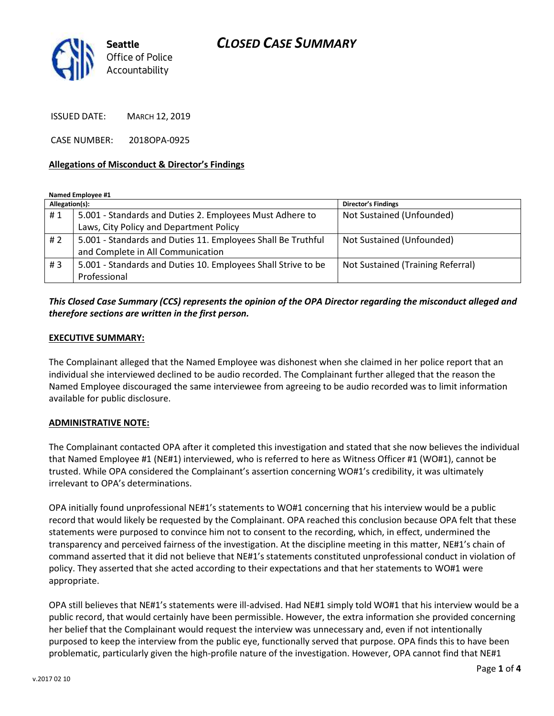# *CLOSED CASE SUMMARY*



ISSUED DATE: MARCH 12, 2019

CASE NUMBER: 2018OPA-0925

#### **Allegations of Misconduct & Director's Findings**

**Named Employee #1**

| Allegation(s): |                                                               | <b>Director's Findings</b>        |
|----------------|---------------------------------------------------------------|-----------------------------------|
| #1             | 5.001 - Standards and Duties 2. Employees Must Adhere to      | Not Sustained (Unfounded)         |
|                | Laws, City Policy and Department Policy                       |                                   |
| # 2            | 5.001 - Standards and Duties 11. Employees Shall Be Truthful  | Not Sustained (Unfounded)         |
|                | and Complete in All Communication                             |                                   |
| #3             | 5.001 - Standards and Duties 10. Employees Shall Strive to be | Not Sustained (Training Referral) |
|                | Professional                                                  |                                   |

### *This Closed Case Summary (CCS) represents the opinion of the OPA Director regarding the misconduct alleged and therefore sections are written in the first person.*

#### **EXECUTIVE SUMMARY:**

The Complainant alleged that the Named Employee was dishonest when she claimed in her police report that an individual she interviewed declined to be audio recorded. The Complainant further alleged that the reason the Named Employee discouraged the same interviewee from agreeing to be audio recorded was to limit information available for public disclosure.

#### **ADMINISTRATIVE NOTE:**

The Complainant contacted OPA after it completed this investigation and stated that she now believes the individual that Named Employee #1 (NE#1) interviewed, who is referred to here as Witness Officer #1 (WO#1), cannot be trusted. While OPA considered the Complainant's assertion concerning WO#1's credibility, it was ultimately irrelevant to OPA's determinations.

OPA initially found unprofessional NE#1's statements to WO#1 concerning that his interview would be a public record that would likely be requested by the Complainant. OPA reached this conclusion because OPA felt that these statements were purposed to convince him not to consent to the recording, which, in effect, undermined the transparency and perceived fairness of the investigation. At the discipline meeting in this matter, NE#1's chain of command asserted that it did not believe that NE#1's statements constituted unprofessional conduct in violation of policy. They asserted that she acted according to their expectations and that her statements to WO#1 were appropriate.

OPA still believes that NE#1's statements were ill-advised. Had NE#1 simply told WO#1 that his interview would be a public record, that would certainly have been permissible. However, the extra information she provided concerning her belief that the Complainant would request the interview was unnecessary and, even if not intentionally purposed to keep the interview from the public eye, functionally served that purpose. OPA finds this to have been problematic, particularly given the high-profile nature of the investigation. However, OPA cannot find that NE#1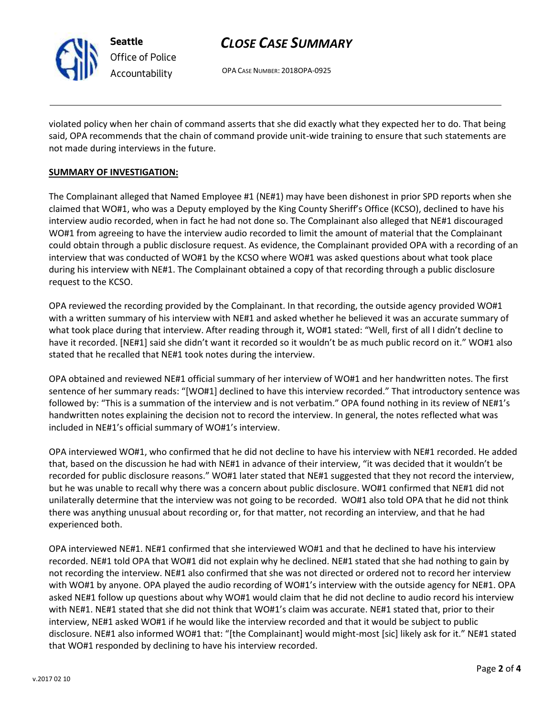

# *CLOSE CASE SUMMARY*

OPA CASE NUMBER: 2018OPA-0925

violated policy when her chain of command asserts that she did exactly what they expected her to do. That being said, OPA recommends that the chain of command provide unit-wide training to ensure that such statements are not made during interviews in the future.

#### **SUMMARY OF INVESTIGATION:**

The Complainant alleged that Named Employee #1 (NE#1) may have been dishonest in prior SPD reports when she claimed that WO#1, who was a Deputy employed by the King County Sheriff's Office (KCSO), declined to have his interview audio recorded, when in fact he had not done so. The Complainant also alleged that NE#1 discouraged WO#1 from agreeing to have the interview audio recorded to limit the amount of material that the Complainant could obtain through a public disclosure request. As evidence, the Complainant provided OPA with a recording of an interview that was conducted of WO#1 by the KCSO where WO#1 was asked questions about what took place during his interview with NE#1. The Complainant obtained a copy of that recording through a public disclosure request to the KCSO.

OPA reviewed the recording provided by the Complainant. In that recording, the outside agency provided WO#1 with a written summary of his interview with NE#1 and asked whether he believed it was an accurate summary of what took place during that interview. After reading through it, WO#1 stated: "Well, first of all I didn't decline to have it recorded. [NE#1] said she didn't want it recorded so it wouldn't be as much public record on it." WO#1 also stated that he recalled that NE#1 took notes during the interview.

OPA obtained and reviewed NE#1 official summary of her interview of WO#1 and her handwritten notes. The first sentence of her summary reads: "[WO#1] declined to have this interview recorded." That introductory sentence was followed by: "This is a summation of the interview and is not verbatim." OPA found nothing in its review of NE#1's handwritten notes explaining the decision not to record the interview. In general, the notes reflected what was included in NE#1's official summary of WO#1's interview.

OPA interviewed WO#1, who confirmed that he did not decline to have his interview with NE#1 recorded. He added that, based on the discussion he had with NE#1 in advance of their interview, "it was decided that it wouldn't be recorded for public disclosure reasons." WO#1 later stated that NE#1 suggested that they not record the interview, but he was unable to recall why there was a concern about public disclosure. WO#1 confirmed that NE#1 did not unilaterally determine that the interview was not going to be recorded. WO#1 also told OPA that he did not think there was anything unusual about recording or, for that matter, not recording an interview, and that he had experienced both.

OPA interviewed NE#1. NE#1 confirmed that she interviewed WO#1 and that he declined to have his interview recorded. NE#1 told OPA that WO#1 did not explain why he declined. NE#1 stated that she had nothing to gain by not recording the interview. NE#1 also confirmed that she was not directed or ordered not to record her interview with WO#1 by anyone. OPA played the audio recording of WO#1's interview with the outside agency for NE#1. OPA asked NE#1 follow up questions about why WO#1 would claim that he did not decline to audio record his interview with NE#1. NE#1 stated that she did not think that WO#1's claim was accurate. NE#1 stated that, prior to their interview, NE#1 asked WO#1 if he would like the interview recorded and that it would be subject to public disclosure. NE#1 also informed WO#1 that: "[the Complainant] would might-most [sic] likely ask for it." NE#1 stated that WO#1 responded by declining to have his interview recorded.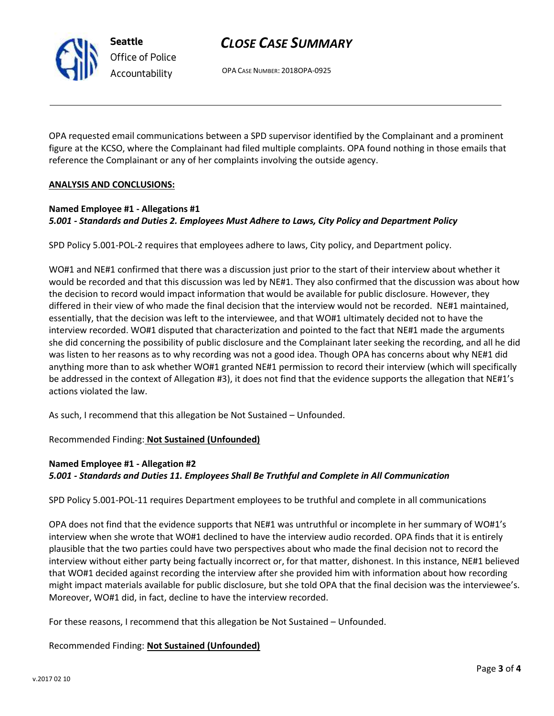

*Office of Police Accountability*

# *CLOSE CASE SUMMARY*

OPA CASE NUMBER: 2018OPA-0925

OPA requested email communications between a SPD supervisor identified by the Complainant and a prominent figure at the KCSO, where the Complainant had filed multiple complaints. OPA found nothing in those emails that reference the Complainant or any of her complaints involving the outside agency.

### **ANALYSIS AND CONCLUSIONS:**

### **Named Employee #1 - Allegations #1** *5.001 - Standards and Duties 2. Employees Must Adhere to Laws, City Policy and Department Policy*

SPD Policy 5.001-POL-2 requires that employees adhere to laws, City policy, and Department policy.

WO#1 and NE#1 confirmed that there was a discussion just prior to the start of their interview about whether it would be recorded and that this discussion was led by NE#1. They also confirmed that the discussion was about how the decision to record would impact information that would be available for public disclosure. However, they differed in their view of who made the final decision that the interview would not be recorded. NE#1 maintained, essentially, that the decision was left to the interviewee, and that WO#1 ultimately decided not to have the interview recorded. WO#1 disputed that characterization and pointed to the fact that NE#1 made the arguments she did concerning the possibility of public disclosure and the Complainant later seeking the recording, and all he did was listen to her reasons as to why recording was not a good idea. Though OPA has concerns about why NE#1 did anything more than to ask whether WO#1 granted NE#1 permission to record their interview (which will specifically be addressed in the context of Allegation #3), it does not find that the evidence supports the allegation that NE#1's actions violated the law.

As such, I recommend that this allegation be Not Sustained – Unfounded.

Recommended Finding: **Not Sustained (Unfounded)**

## **Named Employee #1 - Allegation #2** *5.001 - Standards and Duties 11. Employees Shall Be Truthful and Complete in All Communication*

SPD Policy 5.001-POL-11 requires Department employees to be truthful and complete in all communications

OPA does not find that the evidence supports that NE#1 was untruthful or incomplete in her summary of WO#1's interview when she wrote that WO#1 declined to have the interview audio recorded. OPA finds that it is entirely plausible that the two parties could have two perspectives about who made the final decision not to record the interview without either party being factually incorrect or, for that matter, dishonest. In this instance, NE#1 believed that WO#1 decided against recording the interview after she provided him with information about how recording might impact materials available for public disclosure, but she told OPA that the final decision was the interviewee's. Moreover, WO#1 did, in fact, decline to have the interview recorded.

For these reasons, I recommend that this allegation be Not Sustained – Unfounded.

### Recommended Finding: **Not Sustained (Unfounded)**